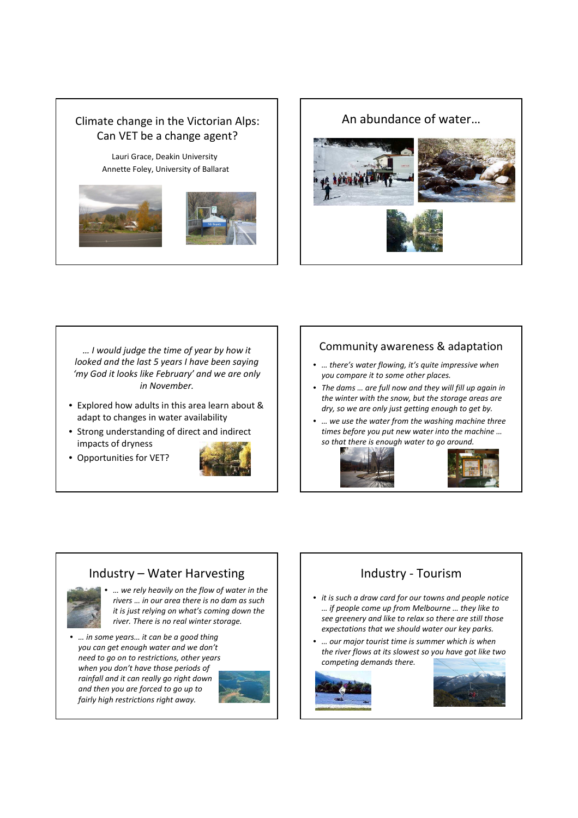# Climate change in the Victorian Alps: Can VET be a change agent?

Lauri Grace, Deakin University Annette Foley, University of Ballarat





An abundance of water…



… I would judge the time of year by how it looked and the last 5 years I have been saying 'my God it looks like February' and we are only in November.

- Explored how adults in this area learn about & adapt to changes in water availability
- Strong understanding of direct and indirect impacts of dryness
- Opportunities for VET?



#### Community awareness & adaptation

- … there's water flowing, it's quite impressive when you compare it to some other places.
- The dams … are full now and they will fill up again in the winter with the snow, but the storage areas are dry, so we are only just getting enough to get by.
- … we use the water from the washing machine three times before you put new water into the machine … so that there is enough water to go around.





#### Industry – Water Harvesting



• … we rely heavily on the flow of water in the rivers … in our area there is no dam as such it is just relying on what's coming down the river. There is no real winter storage.

• … in some years… it can be a good thing you can get enough water and we don't need to go on to restrictions, other years when you don't have those periods of rainfall and it can really go right down and then you are forced to go up to fairly high restrictions right away.



### Industry - Tourism

- it is such a draw card for our towns and people notice … if people come up from Melbourne … they like to see greenery and like to relax so there are still those expectations that we should water our key parks.
- … our major tourist time is summer which is when the river flows at its slowest so you have got like two competing demands there.